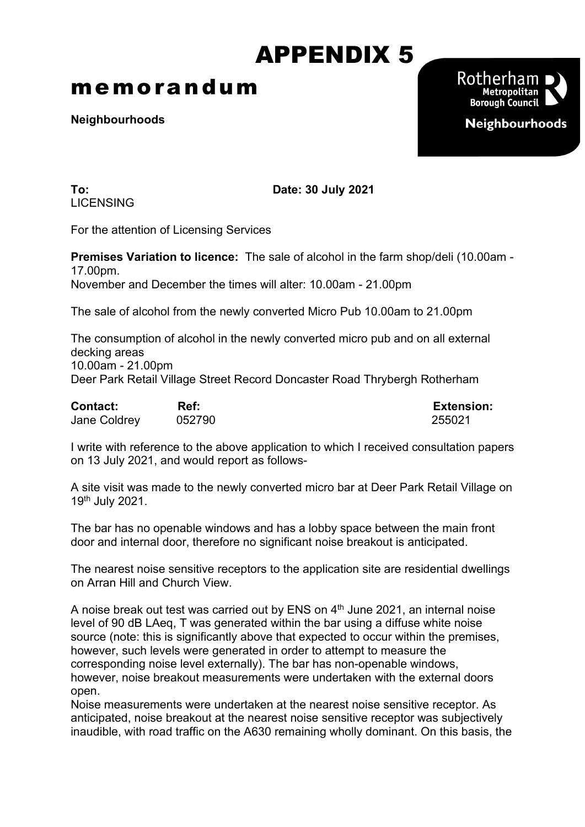## APPENDIX 5

## memorandum

**Neighbourhoods**



**LICENSING** 

**To: Date: 30 July 2021**

For the attention of Licensing Services

**Premises Variation to licence:** The sale of alcohol in the farm shop/deli (10.00am - 17.00pm. November and December the times will alter: 10.00am - 21.00pm

The sale of alcohol from the newly converted Micro Pub 10.00am to 21.00pm

The consumption of alcohol in the newly converted micro pub and on all external decking areas 10.00am - 21.00pm Deer Park Retail Village Street Record Doncaster Road Thrybergh Rotherham

| <b>Contact:</b>     | Ref:   | <b>Extension:</b> |
|---------------------|--------|-------------------|
| <b>Jane Coldrey</b> | 052790 | 255021            |

I write with reference to the above application to which I received consultation papers on 13 July 2021, and would report as follows-

A site visit was made to the newly converted micro bar at Deer Park Retail Village on 19th July 2021.

The bar has no openable windows and has a lobby space between the main front door and internal door, therefore no significant noise breakout is anticipated.

The nearest noise sensitive receptors to the application site are residential dwellings on Arran Hill and Church View.

A noise break out test was carried out by ENS on 4<sup>th</sup> June 2021, an internal noise level of 90 dB LAeq, T was generated within the bar using a diffuse white noise source (note: this is significantly above that expected to occur within the premises, however, such levels were generated in order to attempt to measure the corresponding noise level externally). The bar has non-openable windows, however, noise breakout measurements were undertaken with the external doors open.

Noise measurements were undertaken at the nearest noise sensitive receptor. As anticipated, noise breakout at the nearest noise sensitive receptor was subjectively inaudible, with road traffic on the A630 remaining wholly dominant. On this basis, the